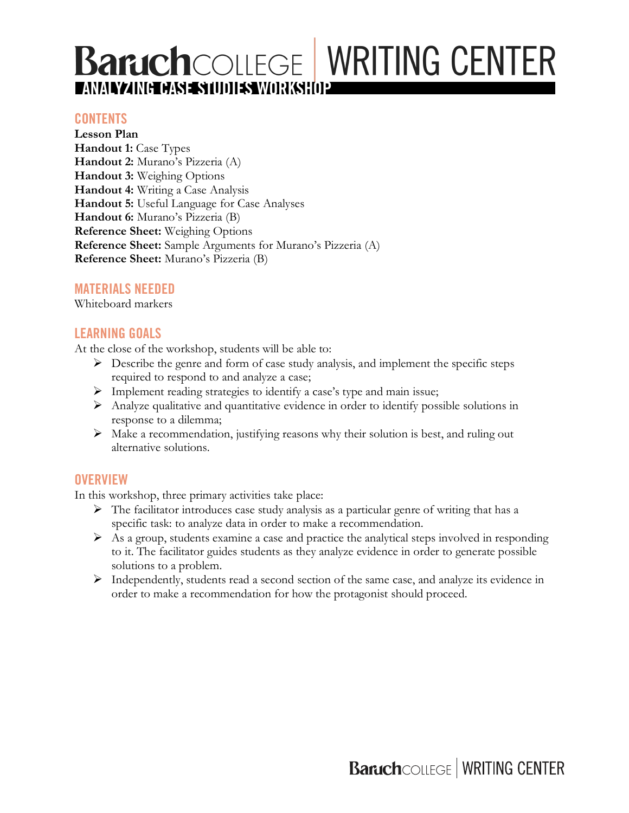# **BaruchCOLLEGE WRITING CENTER AMALYZING CASE STUDIES WORKSHOP**

### **CONTENTS**

**Lesson Plan Handout 1:** Case Types **Handout 2:** Murano's Pizzeria (A) **Handout 3:** Weighing Options **Handout 4:** Writing a Case Analysis **Handout 5:** Useful Language for Case Analyses **Handout 6:** Murano's Pizzeria (B) **Reference Sheet:** Weighing Options **Reference Sheet:** Sample Arguments for Murano's Pizzeria (A) **Reference Sheet:** Murano's Pizzeria (B)

### **MATERIALS NEEDED**

Whiteboard markers

### **LEARNING GOALS**

At the close of the workshop, students will be able to:

- $\triangleright$  Describe the genre and form of case study analysis, and implement the specific steps required to respond to and analyze a case;
- $\triangleright$  Implement reading strategies to identify a case's type and main issue;
- Ø Analyze qualitative and quantitative evidence in order to identify possible solutions in response to a dilemma;
- $\triangleright$  Make a recommendation, justifying reasons why their solution is best, and ruling out alternative solutions.

### **OVERVIEW**

In this workshop, three primary activities take place:

- $\triangleright$  The facilitator introduces case study analysis as a particular genre of writing that has a specific task: to analyze data in order to make a recommendation.
- $\triangleright$  As a group, students examine a case and practice the analytical steps involved in responding to it. The facilitator guides students as they analyze evidence in order to generate possible solutions to a problem.
- Ø Independently, students read a second section of the same case, and analyze its evidence in order to make a recommendation for how the protagonist should proceed.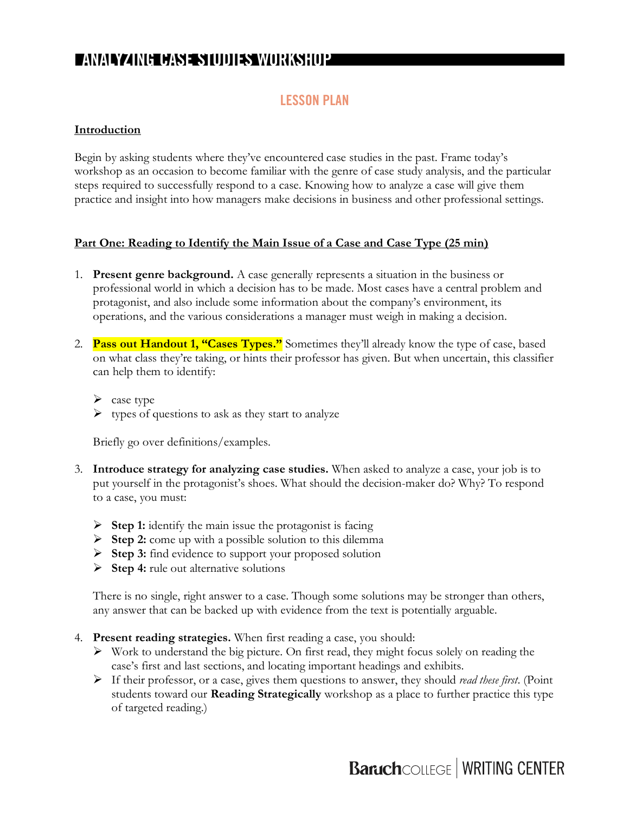### **LESSON PLAN**

#### **Introduction**

Begin by asking students where they've encountered case studies in the past. Frame today's workshop as an occasion to become familiar with the genre of case study analysis, and the particular steps required to successfully respond to a case. Knowing how to analyze a case will give them practice and insight into how managers make decisions in business and other professional settings.

#### **Part One: Reading to Identify the Main Issue of a Case and Case Type (25 min)**

- 1. **Present genre background.** A case generally represents a situation in the business or professional world in which a decision has to be made. Most cases have a central problem and protagonist, and also include some information about the company's environment, its operations, and the various considerations a manager must weigh in making a decision.
- 2. **Pass out Handout 1, "Cases Types."** Sometimes they'll already know the type of case, based on what class they're taking, or hints their professor has given. But when uncertain, this classifier can help them to identify:
	- $\triangleright$  case type
	- $\triangleright$  types of questions to ask as they start to analyze

Briefly go over definitions/examples.

- 3. **Introduce strategy for analyzing case studies.** When asked to analyze a case, your job is to put yourself in the protagonist's shoes. What should the decision-maker do? Why? To respond to a case, you must:
	- Ø **Step 1:** identify the main issue the protagonist is facing
	- Ø **Step 2:** come up with a possible solution to this dilemma
	- Ø **Step 3:** find evidence to support your proposed solution
	- Ø **Step 4:** rule out alternative solutions

There is no single, right answer to a case. Though some solutions may be stronger than others, any answer that can be backed up with evidence from the text is potentially arguable.

- 4. **Present reading strategies.** When first reading a case, you should:
	- $\triangleright$  Work to understand the big picture. On first read, they might focus solely on reading the case's first and last sections, and locating important headings and exhibits.
	- Ø If their professor, or a case, gives them questions to answer, they should *read these first*. (Point students toward our **Reading Strategically** workshop as a place to further practice this type of targeted reading.)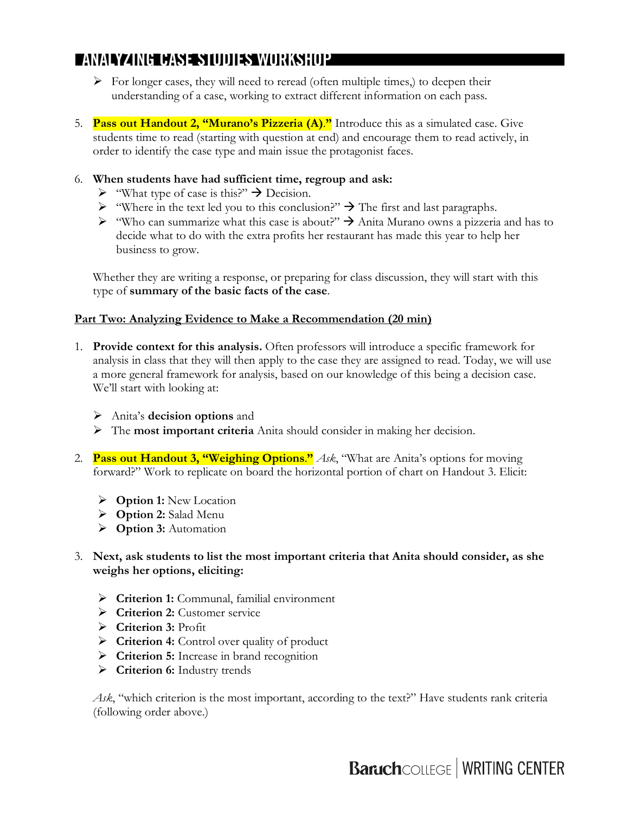- $\triangleright$  For longer cases, they will need to reread (often multiple times,) to deepen their understanding of a case, working to extract different information on each pass.
- 5. **Pass out Handout 2, "Murano's Pizzeria (A)**.**"** Introduce this as a simulated case. Give students time to read (starting with question at end) and encourage them to read actively, in order to identify the case type and main issue the protagonist faces.
- 6. **When students have had sufficient time, regroup and ask:**
	- $\triangleright$  "What type of case is this?"  $\rightarrow$  Decision.
	- $\triangleright$  "Where in the text led you to this conclusion?"  $\rightarrow$  The first and last paragraphs.
	- $\triangleright$  "Who can summarize what this case is about?"  $\rightarrow$  Anita Murano owns a pizzeria and has to decide what to do with the extra profits her restaurant has made this year to help her business to grow.

Whether they are writing a response, or preparing for class discussion, they will start with this type of **summary of the basic facts of the case**.

### **Part Two: Analyzing Evidence to Make a Recommendation (20 min)**

- 1. **Provide context for this analysis.** Often professors will introduce a specific framework for analysis in class that they will then apply to the case they are assigned to read. Today, we will use a more general framework for analysis, based on our knowledge of this being a decision case. We'll start with looking at:
	- Ø Anita's **decision options** and
	- Ø The **most important criteria** Anita should consider in making her decision.
- 2. **Pass out Handout 3, "Weighing Options**.**"** *Ask*, "What are Anita's options for moving forward?" Work to replicate on board the horizontal portion of chart on Handout 3. Elicit:
	- Ø **Option 1:** New Location
	- Ø **Option 2:** Salad Menu
	- Ø **Option 3:** Automation
- 3. **Next, ask students to list the most important criteria that Anita should consider, as she weighs her options, eliciting:**
	- Ø **Criterion 1:** Communal, familial environment
	- Ø **Criterion 2:** Customer service
	- Ø **Criterion 3:** Profit
	- Ø **Criterion 4:** Control over quality of product
	- Ø **Criterion 5:** Increase in brand recognition
	- Ø **Criterion 6:** Industry trends

*Ask*, "which criterion is the most important, according to the text?" Have students rank criteria (following order above.)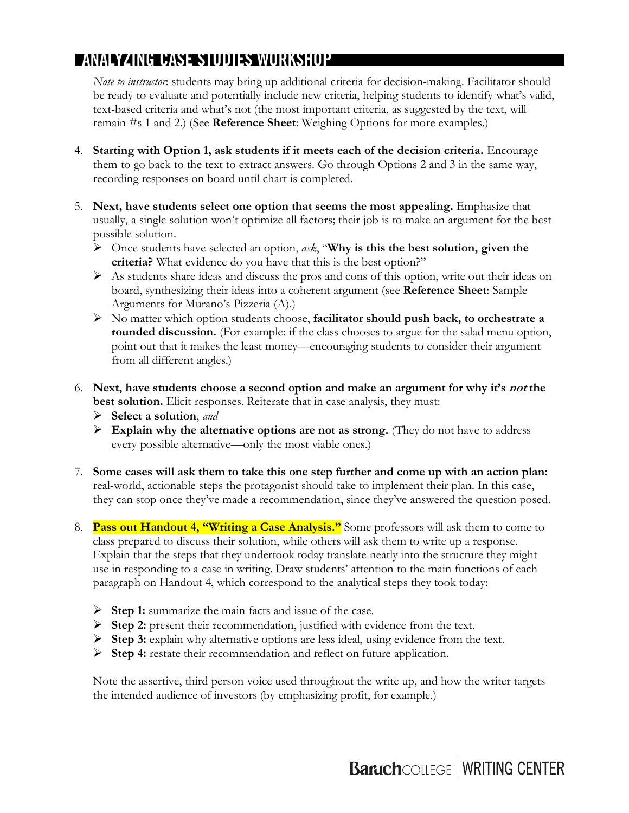*Note to instructor*: students may bring up additional criteria for decision-making. Facilitator should be ready to evaluate and potentially include new criteria, helping students to identify what's valid, text-based criteria and what's not (the most important criteria, as suggested by the text, will remain #s 1 and 2.) (See **Reference Sheet**: Weighing Options for more examples.)

- 4. **Starting with Option 1, ask students if it meets each of the decision criteria.** Encourage them to go back to the text to extract answers. Go through Options 2 and 3 in the same way, recording responses on board until chart is completed.
- 5. **Next, have students select one option that seems the most appealing.** Emphasize that usually, a single solution won't optimize all factors; their job is to make an argument for the best possible solution.
	- Ø Once students have selected an option, *ask*, "**Why is this the best solution, given the criteria?** What evidence do you have that this is the best option?"
	- $\triangleright$  As students share ideas and discuss the pros and cons of this option, write out their ideas on board, synthesizing their ideas into a coherent argument (see **Reference Sheet**: Sample Arguments for Murano's Pizzeria (A).)
	- Ø No matter which option students choose, **facilitator should push back, to orchestrate a rounded discussion.** (For example: if the class chooses to argue for the salad menu option, point out that it makes the least money—encouraging students to consider their argument from all different angles.)
- 6. **Next, have students choose a second option and make an argument for why it's not the best solution.** Elicit responses. Reiterate that in case analysis, they must:
	- Ø **Select a solution**, *and*
	- Ø **Explain why the alternative options are not as strong.** (They do not have to address every possible alternative—only the most viable ones.)
- 7. **Some cases will ask them to take this one step further and come up with an action plan:** real-world, actionable steps the protagonist should take to implement their plan. In this case, they can stop once they've made a recommendation, since they've answered the question posed.
- 8. **Pass out Handout 4, "Writing a Case Analysis."** Some professors will ask them to come to class prepared to discuss their solution, while others will ask them to write up a response. Explain that the steps that they undertook today translate neatly into the structure they might use in responding to a case in writing. Draw students' attention to the main functions of each paragraph on Handout 4, which correspond to the analytical steps they took today:
	- Ø **Step 1:** summarize the main facts and issue of the case.
	- Ø **Step 2:** present their recommendation, justified with evidence from the text.
	- Ø **Step 3:** explain why alternative options are less ideal, using evidence from the text.
	- Ø **Step 4:** restate their recommendation and reflect on future application.

Note the assertive, third person voice used throughout the write up, and how the writer targets the intended audience of investors (by emphasizing profit, for example.)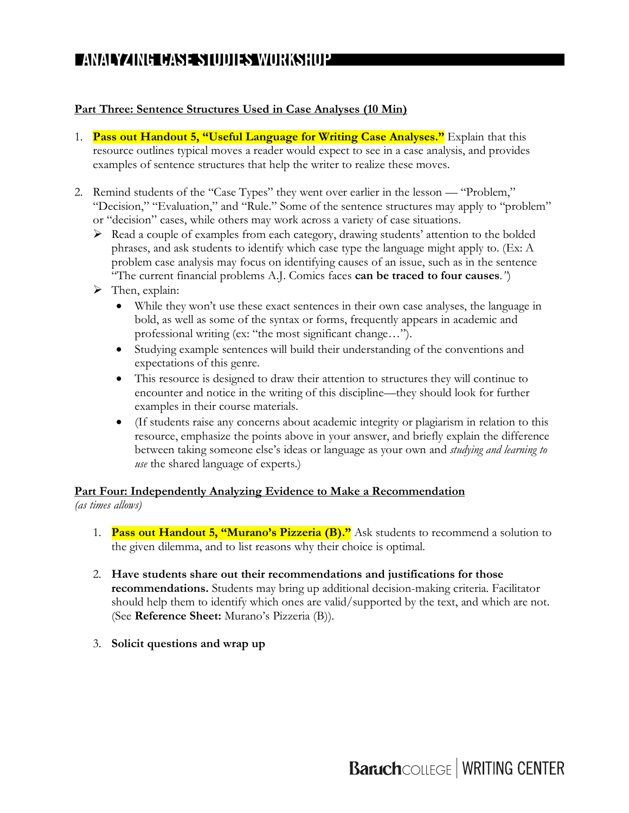### **Part Three: Sentence Structures Used in Case Analyses (10 Min)**

- 1. **Pass out Handout 5, "Useful Language for Writing Case Analyses."** Explain that this resource outlines typical moves a reader would expect to see in a case analysis, and provides examples of sentence structures that help the writer to realize these moves.
- 2. Remind students of the "Case Types" they went over earlier in the lesson "Problem," "Decision," "Evaluation," and "Rule." Some of the sentence structures may apply to "problem" or "decision" cases, while others may work across a variety of case situations.
	- $\triangleright$  Read a couple of examples from each category, drawing students' attention to the bolded phrases, and ask students to identify which case type the language might apply to. (Ex: A problem case analysis may focus on identifying causes of an issue, such as in the sentence "The current financial problems A.J. Comics faces **can be traced to four causes**.*"*)
	- $\triangleright$  Then, explain:
		- While they won't use these exact sentences in their own case analyses, the language in bold, as well as some of the syntax or forms, frequently appears in academic and professional writing (ex: "the most significant change…").
		- Studying example sentences will build their understanding of the conventions and expectations of this genre.
		- This resource is designed to draw their attention to structures they will continue to encounter and notice in the writing of this discipline—they should look for further examples in their course materials.
		- (If students raise any concerns about academic integrity or plagiarism in relation to this resource, emphasize the points above in your answer, and briefly explain the difference between taking someone else's ideas or language as your own and *studying and learning to use* the shared language of experts.)

## **Part Four: Independently Analyzing Evidence to Make a Recommendation**

*(as times allows)*

- 1. **Pass out Handout 5, "Murano's Pizzeria (B)."** Ask students to recommend a solution to the given dilemma, and to list reasons why their choice is optimal.
- 2. **Have students share out their recommendations and justifications for those recommendations.** Students may bring up additional decision-making criteria. Facilitator should help them to identify which ones are valid/supported by the text, and which are not. (See **Reference Sheet:** Murano's Pizzeria (B)).
- 3. **Solicit questions and wrap up**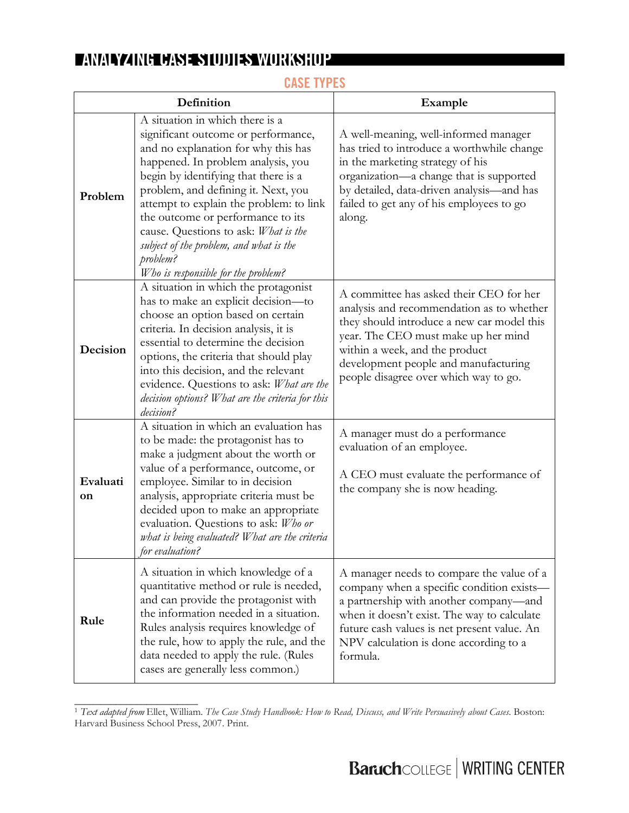| Definition     |                                                                                                                                                                                                                                                                                                                                                                                                                                                          | Example                                                                                                                                                                                                                                                                                      |  |
|----------------|----------------------------------------------------------------------------------------------------------------------------------------------------------------------------------------------------------------------------------------------------------------------------------------------------------------------------------------------------------------------------------------------------------------------------------------------------------|----------------------------------------------------------------------------------------------------------------------------------------------------------------------------------------------------------------------------------------------------------------------------------------------|--|
| Problem        | A situation in which there is a<br>significant outcome or performance,<br>and no explanation for why this has<br>happened. In problem analysis, you<br>begin by identifying that there is a<br>problem, and defining it. Next, you<br>attempt to explain the problem: to link<br>the outcome or performance to its<br>cause. Questions to ask: What is the<br>subject of the problem, and what is the<br>problem?<br>Who is responsible for the problem? | A well-meaning, well-informed manager<br>has tried to introduce a worthwhile change<br>in the marketing strategy of his<br>organization—a change that is supported<br>by detailed, data-driven analysis-and has<br>failed to get any of his employees to go<br>along.                        |  |
| Decision       | A situation in which the protagonist<br>has to make an explicit decision-to<br>choose an option based on certain<br>criteria. In decision analysis, it is<br>essential to determine the decision<br>options, the criteria that should play<br>into this decision, and the relevant<br>evidence. Questions to ask: What are the<br>decision options? What are the criteria for this<br>decision?                                                          | A committee has asked their CEO for her<br>analysis and recommendation as to whether<br>they should introduce a new car model this<br>year. The CEO must make up her mind<br>within a week, and the product<br>development people and manufacturing<br>people disagree over which way to go. |  |
| Evaluati<br>on | A situation in which an evaluation has<br>to be made: the protagonist has to<br>make a judgment about the worth or<br>value of a performance, outcome, or<br>employee. Similar to in decision<br>analysis, appropriate criteria must be<br>decided upon to make an appropriate<br>evaluation. Questions to ask: Who or<br>what is being evaluated? What are the criteria<br>for evaluation?                                                              | A manager must do a performance<br>evaluation of an employee.<br>A CEO must evaluate the performance of<br>the company she is now heading.                                                                                                                                                   |  |
| Rule           | A situation in which knowledge of a<br>quantitative method or rule is needed,<br>and can provide the protagonist with<br>the information needed in a situation.<br>Rules analysis requires knowledge of<br>the rule, how to apply the rule, and the<br>data needed to apply the rule. (Rules<br>cases are generally less common.)                                                                                                                        | A manager needs to compare the value of a<br>company when a specific condition exists-<br>a partnership with another company-and<br>when it doesn't exist. The way to calculate<br>future cash values is net present value. An<br>NPV calculation is done according to a<br>formula.         |  |

## **CASE TYPES**

\_\_\_\_\_\_\_\_\_\_\_\_\_\_\_\_\_\_\_\_\_\_\_\_

<sup>1</sup> *Text adapted from* Ellet, William. *The Case Study Handbook: How to Read, Discuss, and Write Persuasively about Cases*. Boston: Harvard Business School Press, 2007. Print.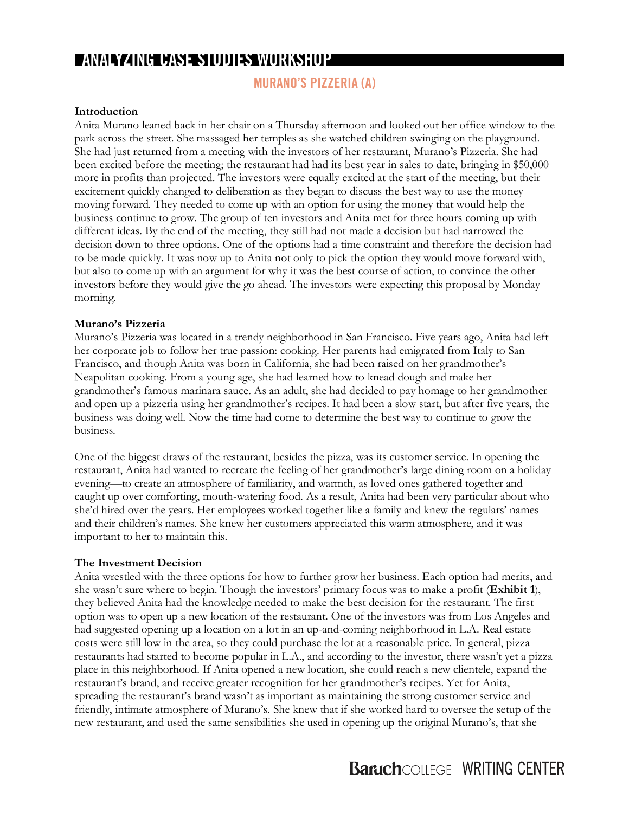### **MURANO'S PIZZERIA (A)**

#### **Introduction**

Anita Murano leaned back in her chair on a Thursday afternoon and looked out her office window to the park across the street. She massaged her temples as she watched children swinging on the playground. She had just returned from a meeting with the investors of her restaurant, Murano's Pizzeria. She had been excited before the meeting; the restaurant had had its best year in sales to date, bringing in \$50,000 more in profits than projected. The investors were equally excited at the start of the meeting, but their excitement quickly changed to deliberation as they began to discuss the best way to use the money moving forward. They needed to come up with an option for using the money that would help the business continue to grow. The group of ten investors and Anita met for three hours coming up with different ideas. By the end of the meeting, they still had not made a decision but had narrowed the decision down to three options. One of the options had a time constraint and therefore the decision had to be made quickly. It was now up to Anita not only to pick the option they would move forward with, but also to come up with an argument for why it was the best course of action, to convince the other investors before they would give the go ahead. The investors were expecting this proposal by Monday morning.

#### **Murano's Pizzeria**

Murano's Pizzeria was located in a trendy neighborhood in San Francisco. Five years ago, Anita had left her corporate job to follow her true passion: cooking. Her parents had emigrated from Italy to San Francisco, and though Anita was born in California, she had been raised on her grandmother's Neapolitan cooking. From a young age, she had learned how to knead dough and make her grandmother's famous marinara sauce. As an adult, she had decided to pay homage to her grandmother and open up a pizzeria using her grandmother's recipes. It had been a slow start, but after five years, the business was doing well. Now the time had come to determine the best way to continue to grow the business.

One of the biggest draws of the restaurant, besides the pizza, was its customer service. In opening the restaurant, Anita had wanted to recreate the feeling of her grandmother's large dining room on a holiday evening—to create an atmosphere of familiarity, and warmth, as loved ones gathered together and caught up over comforting, mouth-watering food. As a result, Anita had been very particular about who she'd hired over the years. Her employees worked together like a family and knew the regulars' names and their children's names. She knew her customers appreciated this warm atmosphere, and it was important to her to maintain this.

#### **The Investment Decision**

Anita wrestled with the three options for how to further grow her business. Each option had merits, and she wasn't sure where to begin. Though the investors' primary focus was to make a profit (**Exhibit 1**), they believed Anita had the knowledge needed to make the best decision for the restaurant. The first option was to open up a new location of the restaurant. One of the investors was from Los Angeles and had suggested opening up a location on a lot in an up-and-coming neighborhood in L.A. Real estate costs were still low in the area, so they could purchase the lot at a reasonable price. In general, pizza restaurants had started to become popular in L.A., and according to the investor, there wasn't yet a pizza place in this neighborhood. If Anita opened a new location, she could reach a new clientele, expand the restaurant's brand, and receive greater recognition for her grandmother's recipes. Yet for Anita, spreading the restaurant's brand wasn't as important as maintaining the strong customer service and friendly, intimate atmosphere of Murano's. She knew that if she worked hard to oversee the setup of the new restaurant, and used the same sensibilities she used in opening up the original Murano's, that she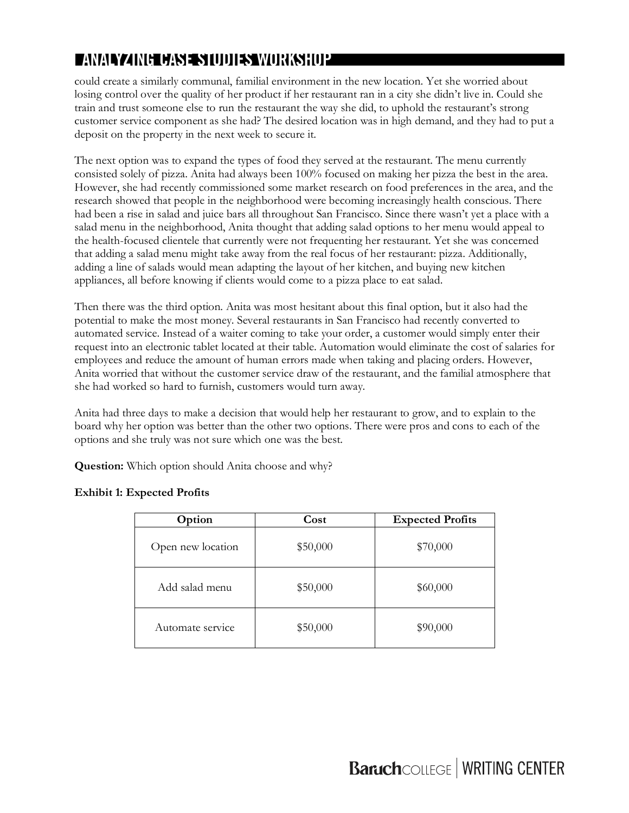could create a similarly communal, familial environment in the new location. Yet she worried about losing control over the quality of her product if her restaurant ran in a city she didn't live in. Could she train and trust someone else to run the restaurant the way she did, to uphold the restaurant's strong customer service component as she had? The desired location was in high demand, and they had to put a deposit on the property in the next week to secure it.

The next option was to expand the types of food they served at the restaurant. The menu currently consisted solely of pizza. Anita had always been 100% focused on making her pizza the best in the area. However, she had recently commissioned some market research on food preferences in the area, and the research showed that people in the neighborhood were becoming increasingly health conscious. There had been a rise in salad and juice bars all throughout San Francisco. Since there wasn't yet a place with a salad menu in the neighborhood, Anita thought that adding salad options to her menu would appeal to the health-focused clientele that currently were not frequenting her restaurant. Yet she was concerned that adding a salad menu might take away from the real focus of her restaurant: pizza. Additionally, adding a line of salads would mean adapting the layout of her kitchen, and buying new kitchen appliances, all before knowing if clients would come to a pizza place to eat salad.

Then there was the third option. Anita was most hesitant about this final option, but it also had the potential to make the most money. Several restaurants in San Francisco had recently converted to automated service. Instead of a waiter coming to take your order, a customer would simply enter their request into an electronic tablet located at their table. Automation would eliminate the cost of salaries for employees and reduce the amount of human errors made when taking and placing orders. However, Anita worried that without the customer service draw of the restaurant, and the familial atmosphere that she had worked so hard to furnish, customers would turn away.

Anita had three days to make a decision that would help her restaurant to grow, and to explain to the board why her option was better than the other two options. There were pros and cons to each of the options and she truly was not sure which one was the best.

**Question:** Which option should Anita choose and why?

| Option            | Cost     | <b>Expected Profits</b> |
|-------------------|----------|-------------------------|
| Open new location | \$50,000 | \$70,000                |
| Add salad menu    | \$50,000 | \$60,000                |
| Automate service  | \$50,000 | \$90,000                |

#### **Exhibit 1: Expected Profits**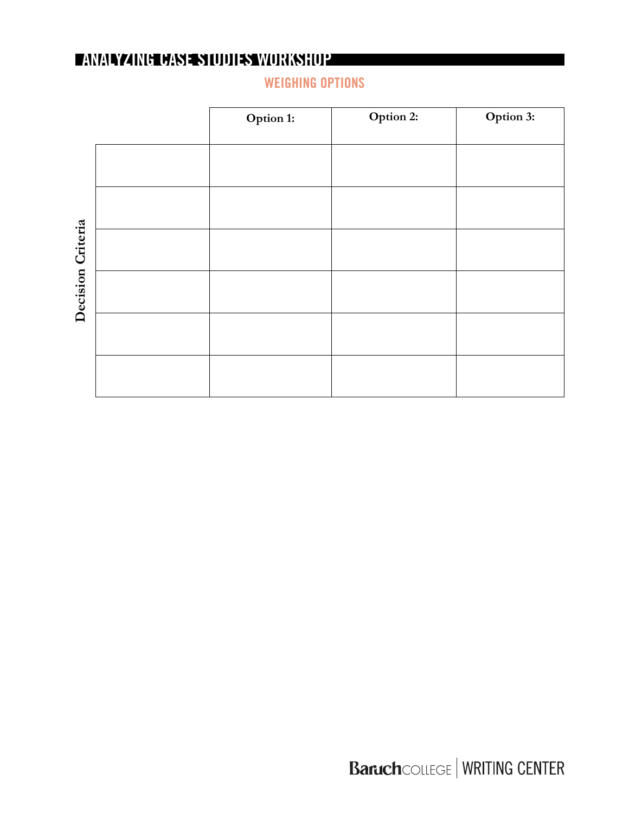**Option 1: Option 2: Option 3:** Decision Criteria **Decision Criteria**

**WEIGHING OPTIONS**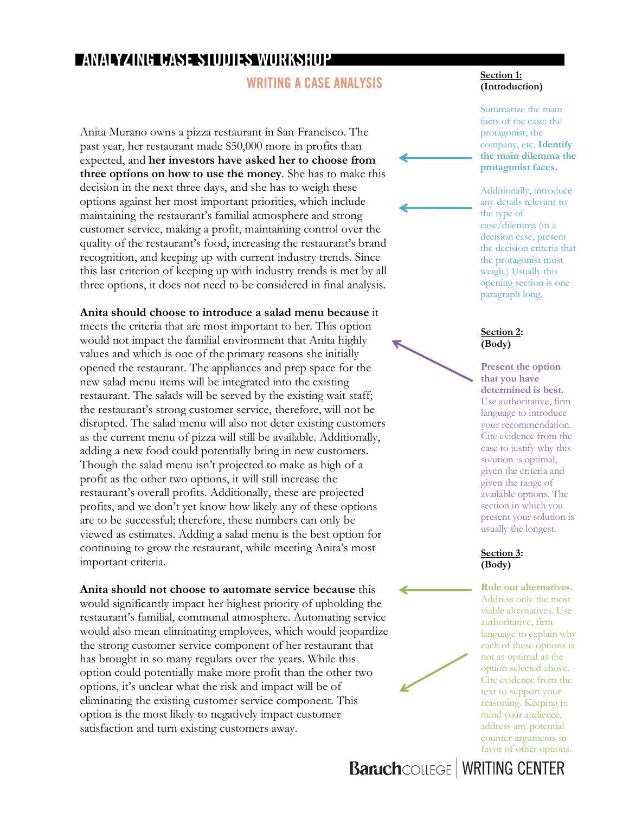### **WRITING A CASE ANALYSIS**

Anita Murano owns a pizza restaurant in San Francisco. The past year, her restaurant made \$50,000 more in profits than expected, and **her investors have asked her to choose from three options on how to use the money**. She has to make this decision in the next three days, and she has to weigh these options against her most important priorities, which include maintaining the restaurant's familial atmosphere and strong customer service, making a profit, maintaining control over the quality of the restaurant's food, increasing the restaurant's brand recognition, and keeping up with current industry trends. Since this last criterion of keeping up with industry trends is met by all three options, it does not need to be considered in final analysis.

**Anita should choose to introduce a salad menu because** it meets the criteria that are most important to her. This option would not impact the familial environment that Anita highly values and which is one of the primary reasons she initially opened the restaurant. The appliances and prep space for the new salad menu items will be integrated into the existing restaurant. The salads will be served by the existing wait staff; the restaurant's strong customer service, therefore, will not be disrupted. The salad menu will also not deter existing customers as the current menu of pizza will still be available. Additionally, adding a new food could potentially bring in new customers. Though the salad menu isn't projected to make as high of a profit as the other two options, it will still increase the restaurant's overall profits. Additionally, these are projected profits, and we don't yet know how likely any of these options are to be successful; therefore, these numbers can only be viewed as estimates. Adding a salad menu is the best option for continuing to grow the restaurant, while meeting Anita's most important criteria.

**Anita should not choose to automate service because** this would significantly impact her highest priority of upholding the restaurant's familial, communal atmosphere. Automating service would also mean eliminating employees, which would jeopardize the strong customer service component of her restaurant that has brought in so many regulars over the years. While this option could potentially make more profit than the other two options, it's unclear what the risk and impact will be of eliminating the existing customer service component. This option is the most likely to negatively impact customer satisfaction and turn existing customers away.

#### **Section 1: (Introduction)**

Summarize the main facts of the case: the protagonist, the company, etc. **Identify the main dilemma the protagonist faces.**

Additionally, introduce any details relevant to the type of case/dilemma (in a decision case, present the decision criteria that the protagonist must weigh.) Usually this opening section is one paragraph long.

#### **Section 2: (Body)**

**Present the option that you have determined is best.** Use authoritative, firm language to introduce your recommendation. Cite evidence from the case to justify why this solution is optimal, given the criteria and given the range of available options. The section in which you present your solution is usually the longest.

#### **Section 3: (Body)**

**Rule out alternatives.**  Address only the most viable alternatives. Use authoritative, firm language to explain why each of these options is not as optimal as the option selected above. Cite evidence from the text to support your reasoning. Keeping in mind your audience, address any potential counter-arguments in favor of other options.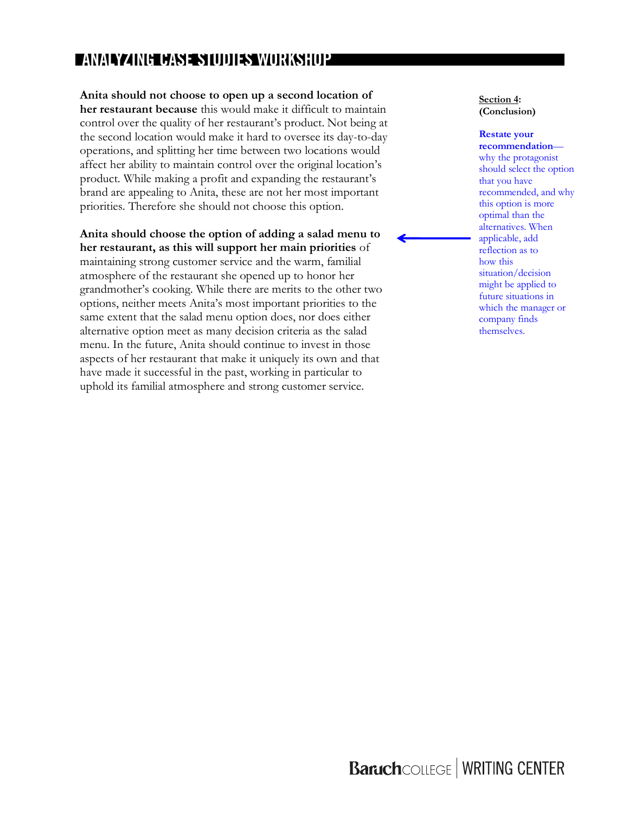#### **Anita should not choose to open up a second location of**

**her restaurant because** this would make it difficult to maintain control over the quality of her restaurant's product. Not being at the second location would make it hard to oversee its day-to-day operations, and splitting her time between two locations would affect her ability to maintain control over the original location's product. While making a profit and expanding the restaurant's brand are appealing to Anita, these are not her most important priorities. Therefore she should not choose this option.

#### **Anita should choose the option of adding a salad menu to her restaurant, as this will support her main priorities** of

maintaining strong customer service and the warm, familial atmosphere of the restaurant she opened up to honor her grandmother's cooking. While there are merits to the other two options, neither meets Anita's most important priorities to the same extent that the salad menu option does, nor does either alternative option meet as many decision criteria as the salad menu. In the future, Anita should continue to invest in those aspects of her restaurant that make it uniquely its own and that have made it successful in the past, working in particular to uphold its familial atmosphere and strong customer service.

#### **Section 4: (Conclusion)**

#### **Restate your**

**recommendation** why the protagonist should select the option that you have recommended, and why this option is more optimal than the alternatives. When applicable, add reflection as to how this situation/decision might be applied to future situations in which the manager or company finds themselves.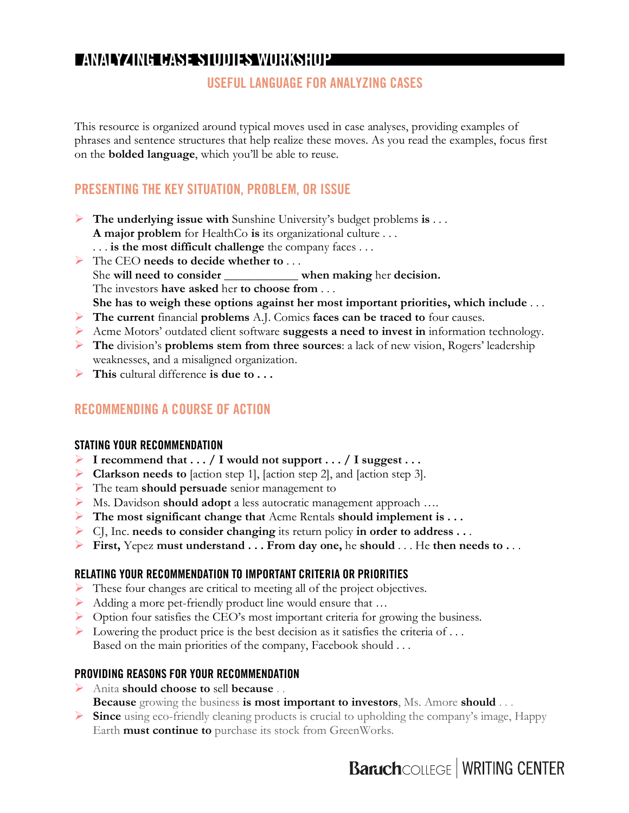### **USEFUL LANGUAGE FOR ANALYZING CASES**

This resource is organized around typical moves used in case analyses, providing examples of phrases and sentence structures that help realize these moves. As you read the examples, focus first on the **bolded language**, which you'll be able to reuse.

## **PRESENTING THE KEY SITUATION, PROBLEM, OR ISSUE**

- Ø **The underlying issue with** Sunshine University's budget problems **is** . . . **A major problem** for HealthCo **is** its organizational culture . . .
	- . . . **is the most difficult challenge** the company faces . . .
- Ø The CEO **needs to decide whether to** . . . She **will need to consider** \_\_\_\_\_\_\_\_\_\_\_\_ **when making** her **decision.** The investors **have asked** her **to choose from** . . . **She has to weigh these options against her most important priorities, which include** . . .
- Ø **The current** financial **problems** A.J. Comics **faces can be traced to** four causes.
- Ø Acme Motors' outdated client software **suggests a need to invest in** information technology.
- Ø **The** division's **problems stem from three sources**: a lack of new vision, Rogers' leadership weaknesses, and a misaligned organization.
- Ø **This** cultural difference **is due to . . .**

### **RECOMMENDING A COURSE OF ACTION**

### **STATING YOUR RECOMMENDATION**

- Ø **I recommend that . . . / I would not support . . . / I suggest . . .**
- Ø **Clarkson needs to** [action step 1], [action step 2], and [action step 3].
- Ø The team **should persuade** senior management to
- Ø Ms. Davidson **should adopt** a less autocratic management approach ….
- Ø **The most significant change that** Acme Rentals **should implement is . . .**
- Ø CJ, Inc. **needs to consider changing** its return policy **in order to address . .** .
- Ø **First,** Yepez **must understand . . . From day one,** he **should** . . . He **then needs to .** . .

### **RELATING YOUR RECOMMENDATION TO IMPORTANT CRITERIA OR PRIORITIES**

- Ø These four changes are critical to meeting all of the project objectives.
- Ø Adding a more pet-friendly product line would ensure that …
- Ø Option four satisfies the CEO's most important criteria for growing the business.
- $\triangleright$  Lowering the product price is the best decision as it satisfies the criteria of ... Based on the main priorities of the company, Facebook should . . .

### **PROVIDING REASONS FOR YOUR RECOMMENDATION**

- Ø Anita **should choose to** sell **because** . . **Because** growing the business **is most important to investors**, Ms. Amore **should** . . .
- Ø **Since** using eco-friendly cleaning products is crucial to upholding the company's image, Happy Earth **must continue to** purchase its stock from GreenWorks.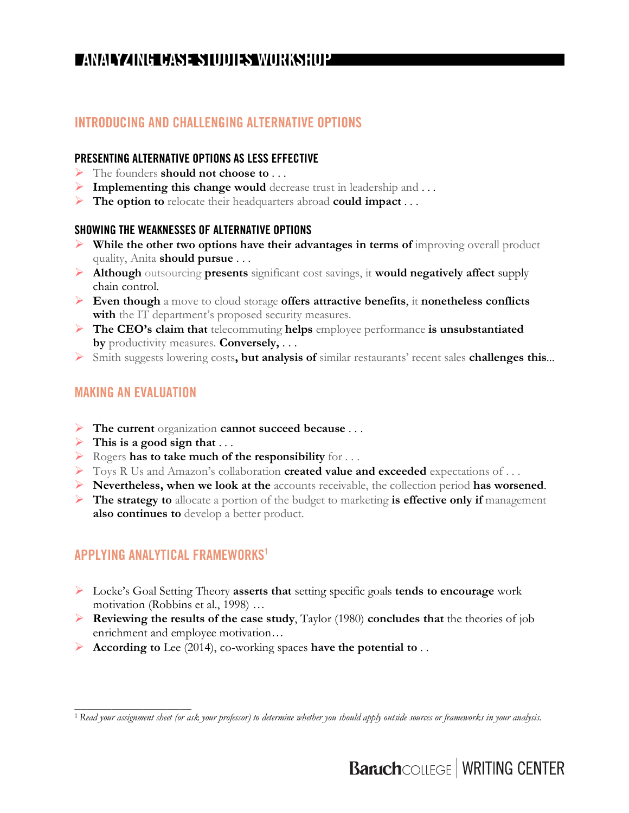### **INTRODUCING AND CHALLENGING ALTERNATIVE OPTIONS**

### **PRESENTING ALTERNATIVE OPTIONS AS LESS EFFECTIVE**

- Ø The founders **should not choose to** . . .
- Ø **Implementing this change would** decrease trust in leadership and . . .
- Ø **The option to** relocate their headquarters abroad **could impact** . . .

#### **SHOWING THE WEAKNESSES OF ALTERNATIVE OPTIONS**

- Ø **While the other two options have their advantages in terms of** improving overall product quality, Anita **should pursue** . . .
- Ø **Although** outsourcing **presents** significant cost savings, it **would negatively affect** supply chain control.
- Ø **Even though** a move to cloud storage **offers attractive benefits**, it **nonetheless conflicts with** the IT department's proposed security measures.
- Ø **The CEO's claim that** telecommuting **helps** employee performance **is unsubstantiated by** productivity measures. **Conversely,** . . .
- Ø Smith suggests lowering costs**, but analysis of** similar restaurants' recent sales **challenges this**...

### **MAKING AN EVALUATION**

\_\_\_\_\_\_\_\_\_\_\_\_\_\_\_\_\_\_\_

- Ø **The current** organization **cannot succeed because** . . .
- $\triangleright$  This is a good sign that ...
- Ø Rogers **has to take much of the responsibility** for . . .
- Ø Toys R Us and Amazon's collaboration **created value and exceeded** expectations of . . .
- Ø **Nevertheless, when we look at the** accounts receivable, the collection period **has worsened**.
- Ø **The strategy to** allocate a portion of the budget to marketing **is effective only if** management **also continues to** develop a better product.

### **APPLYING ANALYTICAL FRAMEWORKS1**

- Ø Locke's Goal Setting Theory **asserts that** setting specific goals **tends to encourage** work motivation (Robbins et al., 1998) …
- Ø **Reviewing the results of the case study**, Taylor (1980) **concludes that** the theories of job enrichment and employee motivation…
- Ø **According to** Lee (2014), co-working spaces **have the potential to** . .

<sup>1</sup> *Read your assignment sheet (or ask your professor) to determine whether you should apply outside sources or frameworks in your analysis.*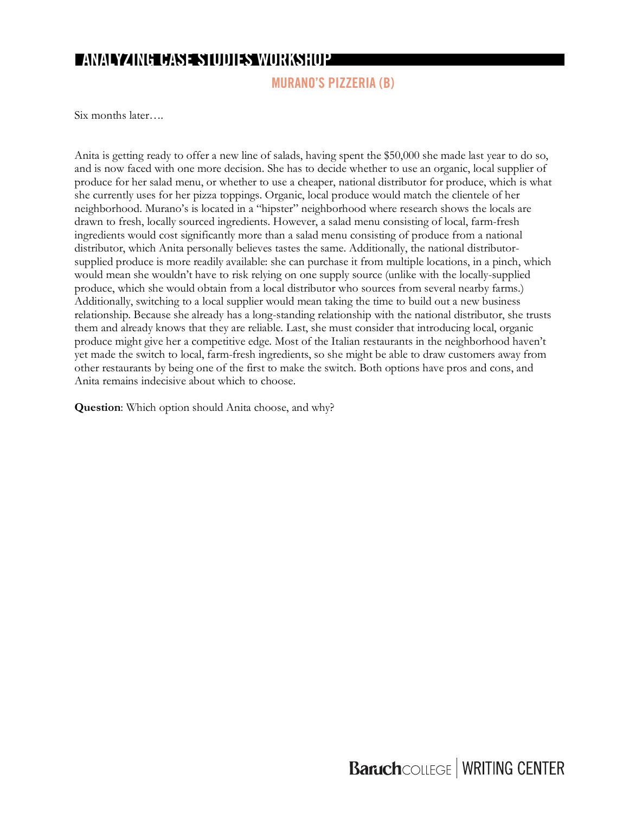## **ANANZING CASES IDDIES WORKSHOP**

**MURANO'S PIZZERIA (B)**

Six months later….

Anita is getting ready to offer a new line of salads, having spent the \$50,000 she made last year to do so, and is now faced with one more decision. She has to decide whether to use an organic, local supplier of produce for her salad menu, or whether to use a cheaper, national distributor for produce, which is what she currently uses for her pizza toppings. Organic, local produce would match the clientele of her neighborhood. Murano's is located in a "hipster" neighborhood where research shows the locals are drawn to fresh, locally sourced ingredients. However, a salad menu consisting of local, farm-fresh ingredients would cost significantly more than a salad menu consisting of produce from a national distributor, which Anita personally believes tastes the same. Additionally, the national distributorsupplied produce is more readily available: she can purchase it from multiple locations, in a pinch, which would mean she wouldn't have to risk relying on one supply source (unlike with the locally-supplied produce, which she would obtain from a local distributor who sources from several nearby farms.) Additionally, switching to a local supplier would mean taking the time to build out a new business relationship. Because she already has a long-standing relationship with the national distributor, she trusts them and already knows that they are reliable. Last, she must consider that introducing local, organic produce might give her a competitive edge. Most of the Italian restaurants in the neighborhood haven't yet made the switch to local, farm-fresh ingredients, so she might be able to draw customers away from other restaurants by being one of the first to make the switch. Both options have pros and cons, and Anita remains indecisive about which to choose.

**Question**: Which option should Anita choose, and why?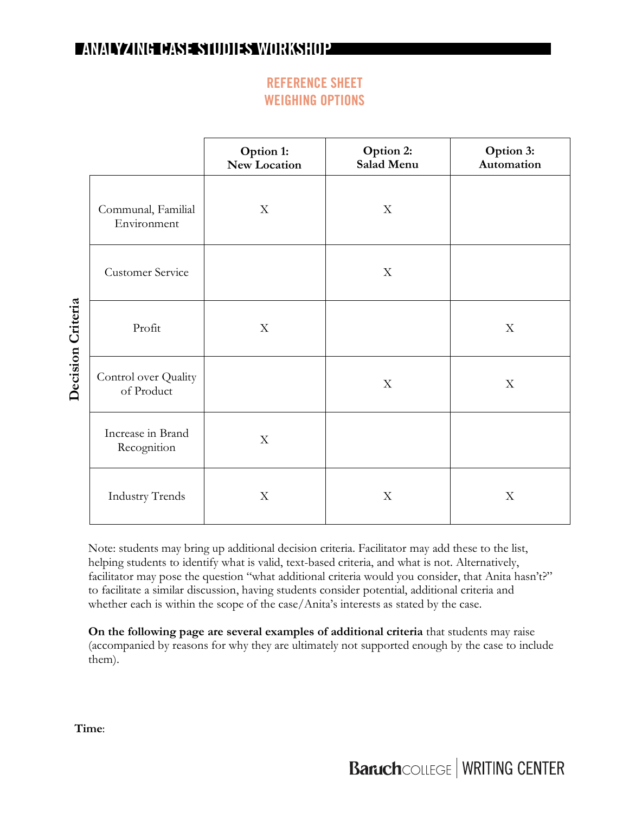## **REFERENCE SHEET WEIGHING OPTIONS**

|                   |                                    | Option 1:<br>New Location | Option 2:<br>Salad Menu   | Option 3:<br>Automation   |
|-------------------|------------------------------------|---------------------------|---------------------------|---------------------------|
|                   | Communal, Familial<br>Environment  | X                         | $\boldsymbol{\mathrm{X}}$ |                           |
| Decision Criteria | <b>Customer Service</b>            |                           | $\boldsymbol{\mathrm{X}}$ |                           |
|                   | Profit                             | $\mathbf X$               |                           | $\mathbf X$               |
|                   | Control over Quality<br>of Product |                           | $\boldsymbol{\mathrm{X}}$ | $\mathbf X$               |
|                   | Increase in Brand<br>Recognition   | $\boldsymbol{\mathrm{X}}$ |                           |                           |
|                   | <b>Industry Trends</b>             | X                         | X                         | $\boldsymbol{\mathrm{X}}$ |

Note: students may bring up additional decision criteria. Facilitator may add these to the list, helping students to identify what is valid, text-based criteria, and what is not. Alternatively, facilitator may pose the question "what additional criteria would you consider, that Anita hasn't?" to facilitate a similar discussion, having students consider potential, additional criteria and whether each is within the scope of the case/Anita's interests as stated by the case.

**On the following page are several examples of additional criteria** that students may raise (accompanied by reasons for why they are ultimately not supported enough by the case to include them).

**Time**: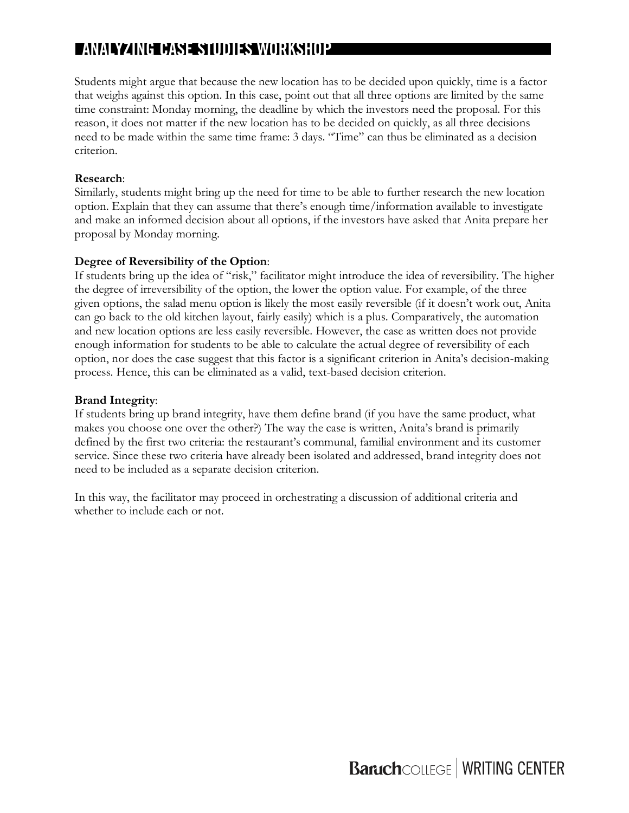Students might argue that because the new location has to be decided upon quickly, time is a factor that weighs against this option. In this case, point out that all three options are limited by the same time constraint: Monday morning, the deadline by which the investors need the proposal. For this reason, it does not matter if the new location has to be decided on quickly, as all three decisions need to be made within the same time frame: 3 days. "Time" can thus be eliminated as a decision criterion.

### **Research**:

Similarly, students might bring up the need for time to be able to further research the new location option. Explain that they can assume that there's enough time/information available to investigate and make an informed decision about all options, if the investors have asked that Anita prepare her proposal by Monday morning.

### **Degree of Reversibility of the Option**:

If students bring up the idea of "risk," facilitator might introduce the idea of reversibility. The higher the degree of irreversibility of the option, the lower the option value. For example, of the three given options, the salad menu option is likely the most easily reversible (if it doesn't work out, Anita can go back to the old kitchen layout, fairly easily) which is a plus. Comparatively, the automation and new location options are less easily reversible. However, the case as written does not provide enough information for students to be able to calculate the actual degree of reversibility of each option, nor does the case suggest that this factor is a significant criterion in Anita's decision-making process. Hence, this can be eliminated as a valid, text-based decision criterion.

### **Brand Integrity**:

If students bring up brand integrity, have them define brand (if you have the same product, what makes you choose one over the other?) The way the case is written, Anita's brand is primarily defined by the first two criteria: the restaurant's communal, familial environment and its customer service. Since these two criteria have already been isolated and addressed, brand integrity does not need to be included as a separate decision criterion.

In this way, the facilitator may proceed in orchestrating a discussion of additional criteria and whether to include each or not.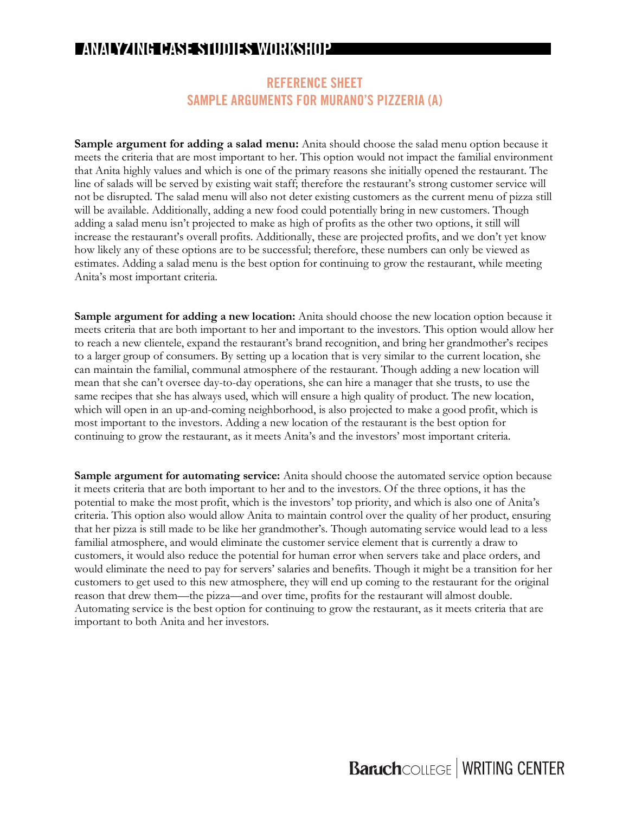### **REFERENCE SHEET SAMPLE ARGUMENTS FOR MURANO'S PIZZERIA (A)**

**Sample argument for adding a salad menu:** Anita should choose the salad menu option because it meets the criteria that are most important to her. This option would not impact the familial environment that Anita highly values and which is one of the primary reasons she initially opened the restaurant. The line of salads will be served by existing wait staff; therefore the restaurant's strong customer service will not be disrupted. The salad menu will also not deter existing customers as the current menu of pizza still will be available. Additionally, adding a new food could potentially bring in new customers. Though adding a salad menu isn't projected to make as high of profits as the other two options, it still will increase the restaurant's overall profits. Additionally, these are projected profits, and we don't yet know how likely any of these options are to be successful; therefore, these numbers can only be viewed as estimates. Adding a salad menu is the best option for continuing to grow the restaurant, while meeting Anita's most important criteria.

**Sample argument for adding a new location:** Anita should choose the new location option because it meets criteria that are both important to her and important to the investors. This option would allow her to reach a new clientele, expand the restaurant's brand recognition, and bring her grandmother's recipes to a larger group of consumers. By setting up a location that is very similar to the current location, she can maintain the familial, communal atmosphere of the restaurant. Though adding a new location will mean that she can't oversee day-to-day operations, she can hire a manager that she trusts, to use the same recipes that she has always used, which will ensure a high quality of product. The new location, which will open in an up-and-coming neighborhood, is also projected to make a good profit, which is most important to the investors. Adding a new location of the restaurant is the best option for continuing to grow the restaurant, as it meets Anita's and the investors' most important criteria.

**Sample argument for automating service:** Anita should choose the automated service option because it meets criteria that are both important to her and to the investors. Of the three options, it has the potential to make the most profit, which is the investors' top priority, and which is also one of Anita's criteria. This option also would allow Anita to maintain control over the quality of her product, ensuring that her pizza is still made to be like her grandmother's. Though automating service would lead to a less familial atmosphere, and would eliminate the customer service element that is currently a draw to customers, it would also reduce the potential for human error when servers take and place orders, and would eliminate the need to pay for servers' salaries and benefits. Though it might be a transition for her customers to get used to this new atmosphere, they will end up coming to the restaurant for the original reason that drew them—the pizza—and over time, profits for the restaurant will almost double. Automating service is the best option for continuing to grow the restaurant, as it meets criteria that are important to both Anita and her investors.